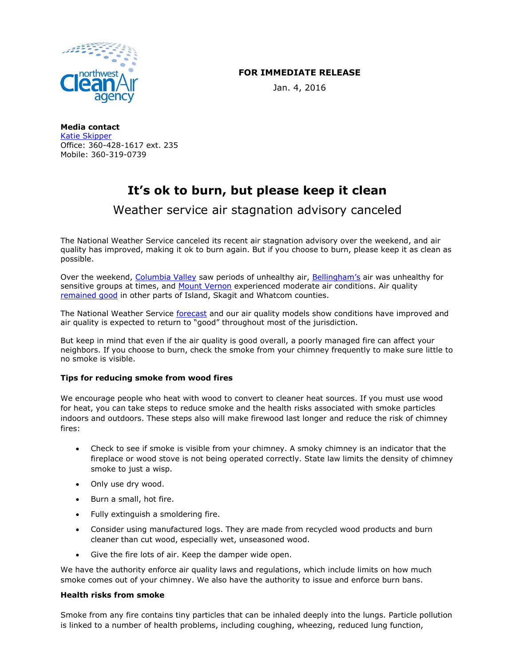

## **FOR IMMEDIATE RELEASE**

Jan. 4, 2016

**Media contact** [Katie Skipper](mailto:kskipper@nwcleanair.org) Office: 360-428-1617 ext. 235 Mobile: 360-319-0739

# **It's ok to burn, but please keep it clean**

Weather service air stagnation advisory canceled

The National Weather Service canceled its recent air stagnation advisory over the weekend, and air quality has improved, making it ok to burn again. But if you choose to burn, please keep it as clean as possible.

Over the weekend, [Columbia Valley](https://fortress.wa.gov/ecy/enviwa/IndexBoardChart.aspx?ST_ID=143_PM2.5) saw periods of unhealthy air, [Bellingham's](https://fortress.wa.gov/ecy/enviwa/IndexBoardChart.aspx?ST_ID=7_PM2.5) air was unhealthy for sensitive groups at times, and [Mount Vernon](https://fortress.wa.gov/ecy/enviwa/IndexBoardChart.aspx?ST_ID=143_PM2.5) experienced moderate air conditions. Air quality [remained good](http://www.nwcleanair.org/airQuality/current.asp) in other parts of Island, Skagit and Whatcom counties.

The National Weather Service [forecast](http://www.wrh.noaa.gov/total_forecast/getprod.php?prod=XXXAFDSEW&wfo=SEW) and our air quality models show conditions have improved and air quality is expected to return to "good" throughout most of the jurisdiction.

But keep in mind that even if the air quality is good overall, a poorly managed fire can affect your neighbors. If you choose to burn, check the smoke from your chimney frequently to make sure little to no smoke is visible.

### **Tips for reducing smoke from wood fires**

We encourage people who heat with wood to convert to cleaner heat sources. If you must use wood for heat, you can take steps to reduce smoke and the health risks associated with smoke particles indoors and outdoors. These steps also will make firewood last longer and reduce the risk of chimney fires:

- Check to see if smoke is visible from your chimney. A smoky chimney is an indicator that the fireplace or wood stove is not being operated correctly. State law limits the density of chimney smoke to just a wisp.
- Only use dry wood.
- Burn a small, hot fire.
- Fully extinguish a smoldering fire.
- Consider using manufactured logs. They are made from recycled wood products and burn cleaner than cut wood, especially wet, unseasoned wood.
- Give the fire lots of air. Keep the damper wide open.

We have the authority enforce air quality laws and regulations, which include limits on how much smoke comes out of your chimney. We also have the authority to issue and enforce burn bans.

### **Health risks from smoke**

Smoke from any fire contains tiny particles that can be inhaled deeply into the lungs. Particle pollution is linked to a number of health problems, including coughing, wheezing, reduced lung function,